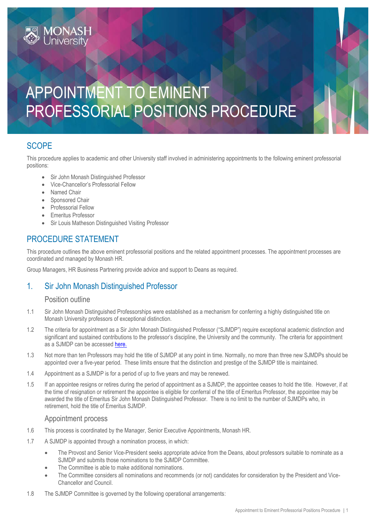# APPOINTMENT TO EMINENT PROFESSORIAL POSITIONS PROCEDURE

## **SCOPE**

This procedure applies to academic and other University staff involved in administering appointments to the following eminent professorial positions:

- Sir John Monash Distinguished Professor
- Vice-Chancellor's Professorial Fellow
- Named Chair
- Sponsored Chair
- Professorial Fellow
- Emeritus Professor
- Sir Louis Matheson Distinguished Visiting Professor

# PROCEDURE STATEMENT

This procedure outlines the above eminent professorial positions and the related appointment processes. The appointment processes are coordinated and managed by Monash HR.

Group Managers, HR Business Partnering provide advice and support to Deans as required.

## 1. Sir John Monash Distinguished Professor

#### Position outline

- 1.1 Sir John Monash Distinguished Professorships were established as a mechanism for conferring a highly distinguished title on Monash University professors of exceptional distinction.
- 1.2 The criteria for appointment as a Sir John Monash Distinguished Professor ("SJMDP") require exceptional academic distinction and significant and sustained contributions to the professor's discipline, the University and the community. The criteria for appointment as a SJMDP can be accesse[d here.](https://www.intranet.monash/hr/tools-and-resources/manager-resources/recruitment-and-appointments/john-monash-criteria)
- 1.3 Not more than ten Professors may hold the title of SJMDP at any point in time. Normally, no more than three new SJMDPs should be appointed over a five-year period. These limits ensure that the distinction and prestige of the SJMDP title is maintained.
- 1.4 Appointment as a SJMDP is for a period of up to five years and may be renewed.
- 1.5 If an appointee resigns or retires during the period of appointment as a SJMDP, the appointee ceases to hold the title. However, if at the time of resignation or retirement the appointee is eligible for conferral of the title of Emeritus Professor, the appointee may be awarded the title of Emeritus Sir John Monash Distinguished Professor. There is no limit to the number of SJMDPs who, in retirement, hold the title of Emeritus SJMDP.

#### Appointment process

- 1.6 This process is coordinated by the Manager, Senior Executive Appointments, Monash HR.
- 1.7 A SJMDP is appointed through a nomination process, in which:
	- The Provost and Senior Vice-President seeks appropriate advice from the Deans, about professors suitable to nominate as a SJMDP and submits those nominations to the SJMDP Committee.
	- The Committee is able to make additional nominations.
	- The Committee considers all nominations and recommends (or not) candidates for consideration by the President and Vice-Chancellor and Council.
- 1.8 The SJMDP Committee is governed by the following operational arrangements: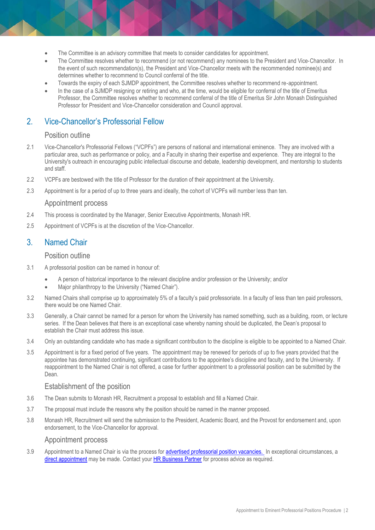- The Committee is an advisory committee that meets to consider candidates for appointment.
- The Committee resolves whether to recommend (or not recommend) any nominees to the President and Vice‐Chancellor. In the event of such recommendation(s), the President and Vice‐Chancellor meets with the recommended nominee(s) and determines whether to recommend to Council conferral of the title.
- Towards the expiry of each SJMDP appointment, the Committee resolves whether to recommend re‐appointment.
- In the case of a SJMDP resigning or retiring and who, at the time, would be eligible for conferral of the title of Emeritus Professor, the Committee resolves whether to recommend conferral of the title of Emeritus Sir John Monash Distinguished Professor for President and Vice-Chancellor consideration and Council approval.

## 2. Vice-Chancellor's Professorial Fellow

#### Position outline

- 2.1 Vice-Chancellor's Professorial Fellows ("VCPFs") are persons of national and international eminence. They are involved with a particular area, such as performance or policy, and a Faculty in sharing their expertise and experience. They are integral to the University's outreach in encouraging public intellectual discourse and debate, leadership development, and mentorship to students and staff.
- 2.2 VCPFs are bestowed with the title of Professor for the duration of their appointment at the University.
- 2.3 Appointment is for a period of up to three years and ideally, the cohort of VCPFs will number less than ten.

#### Appointment process

- 2.4 This process is coordinated by the Manager, Senior Executive Appointments, Monash HR.
- 2.5 Appointment of VCPFs is at the discretion of the Vice-Chancellor.

## 3. Named Chair

#### Position outline

- 3.1 A professorial position can be named in honour of:
	- A person of historical importance to the relevant discipline and/or profession or the University; and/or
	- Major philanthropy to the University ("Named Chair").
- 3.2 Named Chairs shall comprise up to approximately 5% of a faculty's paid professoriate. In a faculty of less than ten paid professors, there would be one Named Chair.
- 3.3 Generally, a Chair cannot be named for a person for whom the University has named something, such as a building, room, or lecture series. If the Dean believes that there is an exceptional case whereby naming should be duplicated, the Dean's proposal to establish the Chair must address this issue.
- 3.4 Only an outstanding candidate who has made a significant contribution to the discipline is eligible to be appointed to a Named Chair.
- 3.5 Appointment is for a fixed period of five years. The appointment may be renewed for periods of up to five years provided that the appointee has demonstrated continuing, significant contributions to the appointee's discipline and faculty, and to the University. If reappointment to the Named Chair is not offered, a case for further appointment to a professorial position can be submitted by the Dean.

#### Establishment of the position

- 3.6 The Dean submits to Monash HR, Recruitment a proposal to establish and fill a Named Chair.
- 3.7 The proposal must include the reasons why the position should be named in the manner proposed.
- 3.8 Monash HR, Recruitment will send the submission to the President, Academic Board, and the Provost for endorsement and, upon endorsement, to the Vice-Chancellor for approval.

#### Appointment process

3.9 Appointment to a Named Chair is via the process for [advertised professorial position vacancies. I](https://publicpolicydms.monash.edu/Monash/documents/1935707)n exceptional circumstances, a [direct appointment](https://publicpolicydms.monash.edu/Monash/documents/1935673) may be made. Contact you[r HR Business Partner](https://www.intranet.monash/hr/contact-us/hr-business-partners) for process advice as required.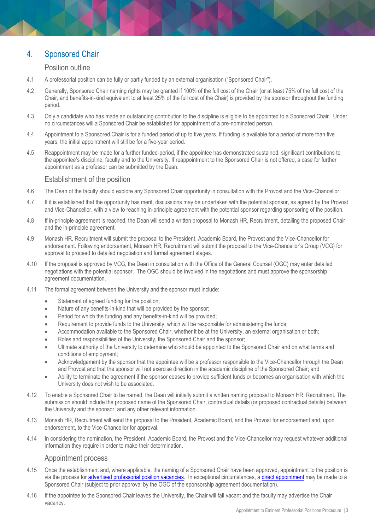## 4. Sponsored Chair

#### Position outline

- 4.1 A professorial position can be fully or partly funded by an external organisation ("Sponsored Chair").
- 4.2 Generally, Sponsored Chair naming rights may be granted if 100% of the full cost of the Chair (or at least 75% of the full cost of the Chair, and benefits-in-kind equivalent to at least 25% of the full cost of the Chair) is provided by the sponsor throughout the funding period.
- 4.3 Only a candidate who has made an outstanding contribution to the discipline is eligible to be appointed to a Sponsored Chair. Under no circumstances will a Sponsored Chair be established for appointment of a pre-nominated person.
- 4.4 Appointment to a Sponsored Chair is for a funded period of up to five years. If funding is available for a period of more than five years, the initial appointment will still be for a five-year period.
- 4.5 Reappointment may be made for a further funded-period, if the appointee has demonstrated sustained, significant contributions to the appointee's discipline, faculty and to the University. If reappointment to the Sponsored Chair is not offered, a case for further appointment as a professor can be submitted by the Dean.

#### Establishment of the position

- 4.6 The Dean of the faculty should explore any Sponsored Chair opportunity in consultation with the Provost and the Vice-Chancellor.
- 4.7 If it is established that the opportunity has merit, discussions may be undertaken with the potential sponsor, as agreed by the Provost and Vice-Chancellor, with a view to reaching in-principle agreement with the potential sponsor regarding sponsoring of the position.
- 4.8 If in-principle agreement is reached, the Dean will send a written proposal to Monash HR, Recruitment, detailing the proposed Chair and the in-principle agreement.
- 4.9 Monash HR, Recruitment will submit the proposal to the President, Academic Board, the Provost and the Vice-Chancellor for endorsement. Following endorsement, Monash HR, Recruitment will submit the proposal to the Vice-Chancellor's Group (VCG) for approval to proceed to detailed negotiation and formal agreement stages.
- 4.10 If the proposal is approved by VCG, the Dean in consultation with the Office of the General Counsel (OGC) may enter detailed negotiations with the potential sponsor. The OGC should be involved in the negotiations and must approve the sponsorship agreement documentation.
- 4.11 The formal agreement between the University and the sponsor must include:
	- Statement of agreed funding for the position;
	- Nature of any benefits-in-kind that will be provided by the sponsor;
	- Period for which the funding and any benefits-in-kind will be provided;
	- Requirement to provide funds to the University, which will be responsible for administering the funds;
	- Accommodation available to the Sponsored Chair, whether it be at the University, an external organisation or both;
	- Roles and responsibilities of the University, the Sponsored Chair and the sponsor;
	- Ultimate authority of the University to determine who should be appointed to the Sponsored Chair and on what terms and conditions of employment;
	- Acknowledgement by the sponsor that the appointee will be a professor responsible to the Vice-Chancellor through the Dean and Provost and that the sponsor will not exercise direction in the academic discipline of the Sponsored Chair; and
	- Ability to terminate the agreement if the sponsor ceases to provide sufficient funds or becomes an organisation with which the University does not wish to be associated.
- 4.12 To enable a Sponsored Chair to be named, the Dean will initially submit a written naming proposal to Monash HR, Recruitment. The submission should include the proposed name of the Sponsored Chair, contractual details (or proposed contractual details) between the University and the sponsor, and any other relevant information.
- 4.13 Monash HR, Recruitment will send the proposal to the President, Academic Board, and the Provost for endorsement and, upon endorsement, to the Vice-Chancellor for approval.
- 4.14 In considering the nomination, the President, Academic Board, the Provost and the Vice-Chancellor may request whatever additional information they require in order to make their determination.

#### Appointment process

- 4.15 Once the establishment and, where applicable, the naming of a Sponsored Chair have been approved, appointment to the position is via the process for **advertised professorial position vacancies**. In exceptional circumstances, [a direct appointment](https://publicpolicydms.monash.edu/Monash/documents/1935673) may be made to a Sponsored Chair (subject to prior approval by the OGC of the sponsorship agreement documentation).
- 4.16 If the appointee to the Sponsored Chair leaves the University, the Chair will fall vacant and the faculty may advertise the Chair vacancy.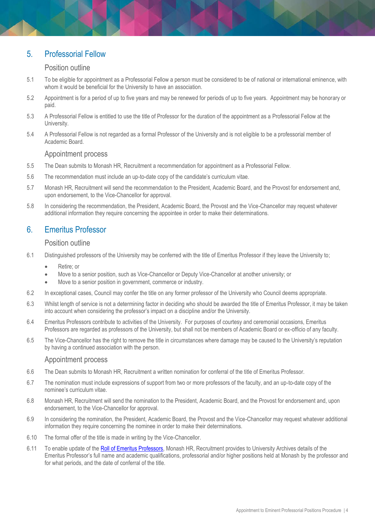## 5. Professorial Fellow

#### Position outline

- 5.1 To be eligible for appointment as a Professorial Fellow a person must be considered to be of national or international eminence, with whom it would be beneficial for the University to have an association.
- 5.2 Appointment is for a period of up to five years and may be renewed for periods of up to five years. Appointment may be honorary or paid.
- 5.3 A Professorial Fellow is entitled to use the title of Professor for the duration of the appointment as a Professorial Fellow at the University.
- 5.4 A Professorial Fellow is not regarded as a formal Professor of the University and is not eligible to be a professorial member of Academic Board.

#### Appointment process

- 5.5 The Dean submits to Monash HR, Recruitment a recommendation for appointment as a Professorial Fellow.
- 5.6 The recommendation must include an up-to-date copy of the candidate's curriculum vitae.
- 5.7 Monash HR, Recruitment will send the recommendation to the President, Academic Board, and the Provost for endorsement and, upon endorsement, to the Vice-Chancellor for approval.
- 5.8 In considering the recommendation, the President, Academic Board, the Provost and the Vice-Chancellor may request whatever additional information they require concerning the appointee in order to make their determinations.

### 6. Emeritus Professor

#### Position outline

- 6.1 Distinguished professors of the University may be conferred with the title of Emeritus Professor if they leave the University to;
	- Retire; or
	- Move to a senior position, such as Vice-Chancellor or Deputy Vice-Chancellor at another university; or
	- Move to a senior position in government, commerce or industry.
- 6.2 In exceptional cases, Council may confer the title on any former professor of the University who Council deems appropriate.
- 6.3 Whilst length of service is not a determining factor in deciding who should be awarded the title of Emeritus Professor, it may be taken into account when considering the professor's impact on a discipline and/or the University.
- 6.4 Emeritus Professors contribute to activities of the University. For purposes of courtesy and ceremonial occasions, Emeritus Professors are regarded as professors of the University, but shall not be members of Academic Board or ex-officio of any faculty.
- 6.5 The Vice-Chancellor has the right to remove the title in circumstances where damage may be caused to the University's reputation by having a continued association with the person.

#### Appointment process

- 6.6 The Dean submits to Monash HR, Recruitment a written nomination for conferral of the title of Emeritus Professor.
- 6.7 The nomination must include expressions of support from two or more professors of the faculty, and an up-to-date copy of the nominee's curriculum vitae.
- 6.8 Monash HR, Recruitment will send the nomination to the President, Academic Board, and the Provost for endorsement and, upon endorsement, to the Vice-Chancellor for approval.
- 6.9 In considering the nomination, the President, Academic Board, the Provost and the Vice-Chancellor may request whatever additional information they require concerning the nominee in order to make their determinations.
- 6.10 The formal offer of the title is made in writing by the Vice-Chancellor.
- 6.11 To enable update of the [Roll of Emeritus Professors,](https://www.monash.edu/records-archives/archives/officers-and-awards/emeritus) Monash HR, Recruitment provides to University Archives details of the Emeritus Professor's full name and academic qualifications, professorial and/or higher positions held at Monash by the professor and for what periods, and the date of conferral of the title.